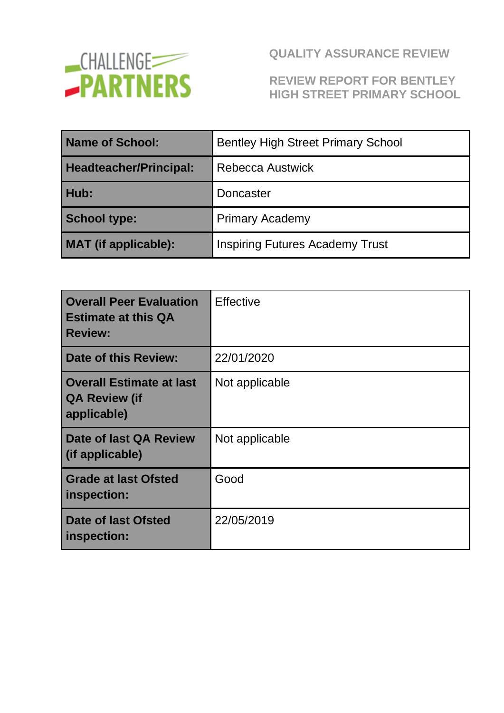

### **REVIEW REPORT FOR BENTLEY HIGH STREET PRIMARY SCHOOL**

| Name of School:               | <b>Bentley High Street Primary School</b> |  |
|-------------------------------|-------------------------------------------|--|
| <b>Headteacher/Principal:</b> | Rebecca Austwick                          |  |
| Hub:                          | Doncaster                                 |  |
| <b>School type:</b>           | <b>Primary Academy</b>                    |  |
| <b>MAT</b> (if applicable):   | <b>Inspiring Futures Academy Trust</b>    |  |

| <b>Overall Peer Evaluation</b><br><b>Estimate at this QA</b><br><b>Review:</b> | <b>Effective</b> |
|--------------------------------------------------------------------------------|------------------|
| Date of this Review:                                                           | 22/01/2020       |
| <b>Overall Estimate at last</b><br><b>QA Review (if</b><br>applicable)         | Not applicable   |
| Date of last QA Review<br>(if applicable)                                      | Not applicable   |
| <b>Grade at last Ofsted</b><br>inspection:                                     | Good             |
| <b>Date of last Ofsted</b><br>inspection:                                      | 22/05/2019       |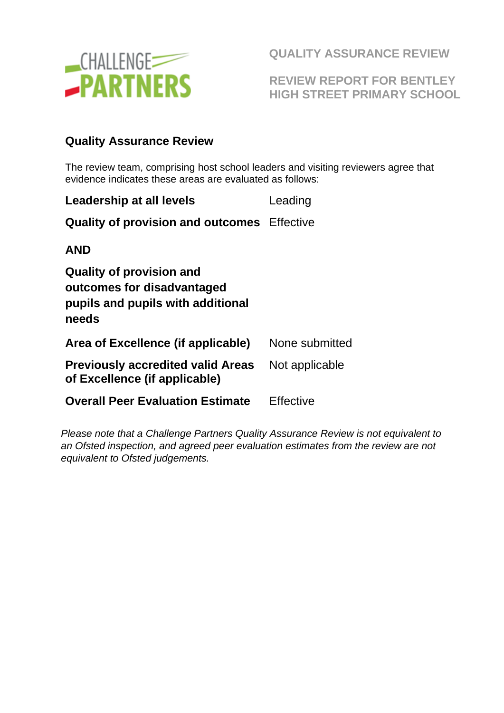

**REVIEW REPORT FOR BENTLEY HIGH STREET PRIMARY SCHOOL** 

### **Quality Assurance Review**

The review team, comprising host school leaders and visiting reviewers agree that evidence indicates these areas are evaluated as follows:

| Leadership at all levels                                                                             | Leading        |
|------------------------------------------------------------------------------------------------------|----------------|
| <b>Quality of provision and outcomes</b> Effective                                                   |                |
| AND                                                                                                  |                |
| Quality of provision and<br>outcomes for disadvantaged<br>pupils and pupils with additional<br>needs |                |
| Area of Excellence (if applicable)                                                                   | None submitted |
| <b>Previously accredited valid Areas</b><br>of Excellence (if applicable)                            | Not applicable |
| <b>Overall Peer Evaluation Estimate</b>                                                              | Effective      |

*Please note that a Challenge Partners Quality Assurance Review is not equivalent to an Ofsted inspection, and agreed peer evaluation estimates from the review are not equivalent to Ofsted judgements.*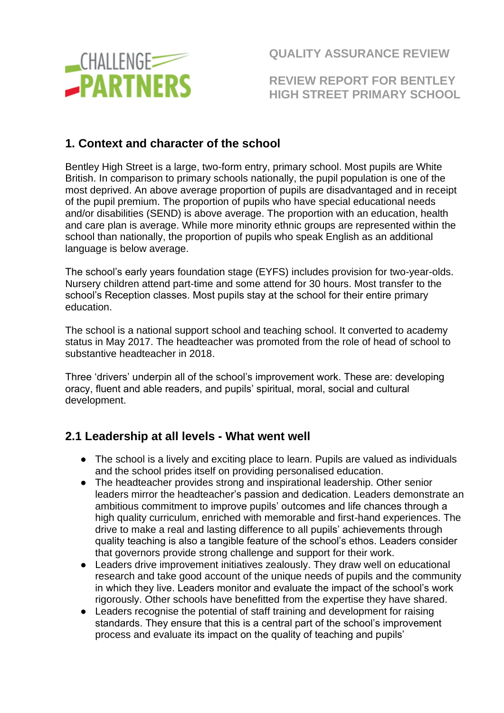

**REVIEW REPORT FOR BENTLEY HIGH STREET PRIMARY SCHOOL** 

### **1. Context and character of the school**

Bentley High Street is a large, two-form entry, primary school. Most pupils are White British. In comparison to primary schools nationally, the pupil population is one of the most deprived. An above average proportion of pupils are disadvantaged and in receipt of the pupil premium. The proportion of pupils who have special educational needs and/or disabilities (SEND) is above average. The proportion with an education, health and care plan is average. While more minority ethnic groups are represented within the school than nationally, the proportion of pupils who speak English as an additional language is below average.

The school's early years foundation stage (EYFS) includes provision for two-year-olds. Nursery children attend part-time and some attend for 30 hours. Most transfer to the school's Reception classes. Most pupils stay at the school for their entire primary education.

The school is a national support school and teaching school. It converted to academy status in May 2017. The headteacher was promoted from the role of head of school to substantive headteacher in 2018.

Three 'drivers' underpin all of the school's improvement work. These are: developing oracy, fluent and able readers, and pupils' spiritual, moral, social and cultural development.

### **2.1 Leadership at all levels - What went well**

- The school is a lively and exciting place to learn. Pupils are valued as individuals and the school prides itself on providing personalised education.
- The headteacher provides strong and inspirational leadership. Other senior leaders mirror the headteacher's passion and dedication. Leaders demonstrate an ambitious commitment to improve pupils' outcomes and life chances through a high quality curriculum, enriched with memorable and first-hand experiences. The drive to make a real and lasting difference to all pupils' achievements through quality teaching is also a tangible feature of the school's ethos. Leaders consider that governors provide strong challenge and support for their work.
- Leaders drive improvement initiatives zealously. They draw well on educational research and take good account of the unique needs of pupils and the community in which they live. Leaders monitor and evaluate the impact of the school's work rigorously. Other schools have benefitted from the expertise they have shared.
- Leaders recognise the potential of staff training and development for raising standards. They ensure that this is a central part of the school's improvement process and evaluate its impact on the quality of teaching and pupils'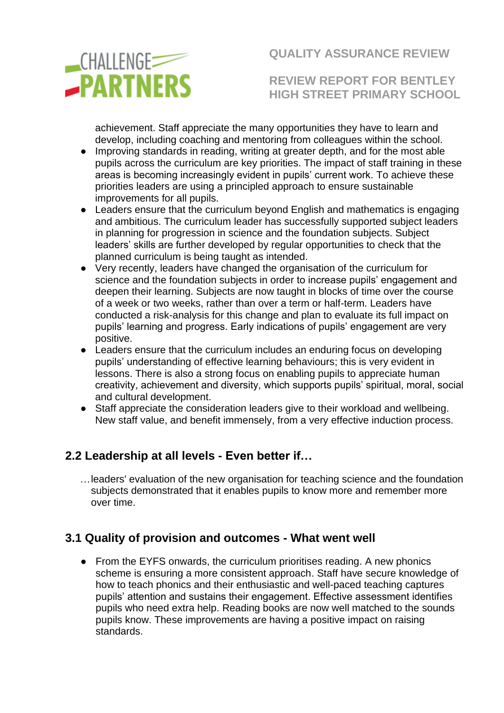

**REVIEW REPORT FOR BENTLEY HIGH STREET PRIMARY SCHOOL** 

achievement. Staff appreciate the many opportunities they have to learn and develop, including coaching and mentoring from colleagues within the school.

- Improving standards in reading, writing at greater depth, and for the most able pupils across the curriculum are key priorities. The impact of staff training in these areas is becoming increasingly evident in pupils' current work. To achieve these priorities leaders are using a principled approach to ensure sustainable improvements for all pupils.
- Leaders ensure that the curriculum beyond English and mathematics is engaging and ambitious. The curriculum leader has successfully supported subject leaders in planning for progression in science and the foundation subjects. Subject leaders' skills are further developed by regular opportunities to check that the planned curriculum is being taught as intended.
- Very recently, leaders have changed the organisation of the curriculum for science and the foundation subjects in order to increase pupils' engagement and deepen their learning. Subjects are now taught in blocks of time over the course of a week or two weeks, rather than over a term or half-term. Leaders have conducted a risk-analysis for this change and plan to evaluate its full impact on pupils' learning and progress. Early indications of pupils' engagement are very positive.
- Leaders ensure that the curriculum includes an enduring focus on developing pupils' understanding of effective learning behaviours; this is very evident in lessons. There is also a strong focus on enabling pupils to appreciate human creativity, achievement and diversity, which supports pupils' spiritual, moral, social and cultural development.
- Staff appreciate the consideration leaders give to their workload and wellbeing. New staff value, and benefit immensely, from a very effective induction process.

### **2.2 Leadership at all levels - Even better if…**

…leaders' evaluation of the new organisation for teaching science and the foundation subjects demonstrated that it enables pupils to know more and remember more over time.

## **3.1 Quality of provision and outcomes - What went well**

● From the EYFS onwards, the curriculum prioritises reading. A new phonics scheme is ensuring a more consistent approach. Staff have secure knowledge of how to teach phonics and their enthusiastic and well-paced teaching captures pupils' attention and sustains their engagement. Effective assessment identifies pupils who need extra help. Reading books are now well matched to the sounds pupils know. These improvements are having a positive impact on raising standards.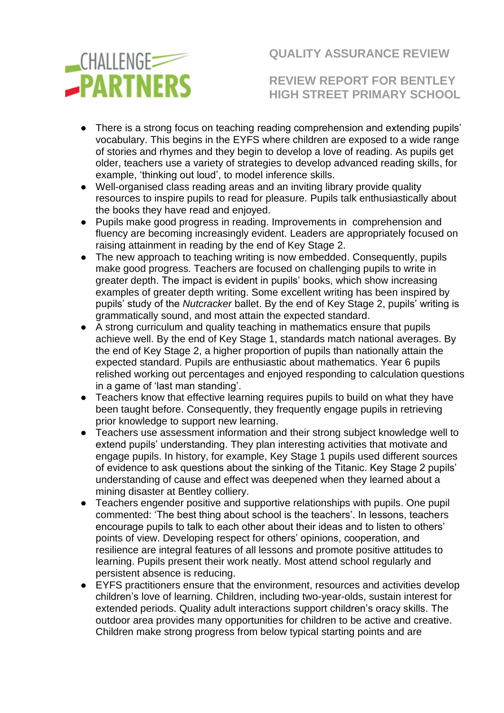

**REVIEW REPORT FOR BENTLEY HIGH STREET PRIMARY SCHOOL** 

- There is a strong focus on teaching reading comprehension and extending pupils' vocabulary. This begins in the EYFS where children are exposed to a wide range of stories and rhymes and they begin to develop a love of reading. As pupils get older, teachers use a variety of strategies to develop advanced reading skills, for example, 'thinking out loud', to model inference skills.
- Well-organised class reading areas and an inviting library provide quality resources to inspire pupils to read for pleasure. Pupils talk enthusiastically about the books they have read and enjoyed.
- Pupils make good progress in reading. Improvements in comprehension and fluency are becoming increasingly evident. Leaders are appropriately focused on raising attainment in reading by the end of Key Stage 2.
- The new approach to teaching writing is now embedded. Consequently, pupils make good progress. Teachers are focused on challenging pupils to write in greater depth. The impact is evident in pupils' books, which show increasing examples of greater depth writing. Some excellent writing has been inspired by pupils' study of the *Nutcracker* ballet. By the end of Key Stage 2, pupils' writing is grammatically sound, and most attain the expected standard.
- A strong curriculum and quality teaching in mathematics ensure that pupils achieve well. By the end of Key Stage 1, standards match national averages. By the end of Key Stage 2, a higher proportion of pupils than nationally attain the expected standard. Pupils are enthusiastic about mathematics. Year 6 pupils relished working out percentages and enjoyed responding to calculation questions in a game of 'last man standing'.
- Teachers know that effective learning requires pupils to build on what they have been taught before. Consequently, they frequently engage pupils in retrieving prior knowledge to support new learning.
- Teachers use assessment information and their strong subject knowledge well to extend pupils' understanding. They plan interesting activities that motivate and engage pupils. In history, for example, Key Stage 1 pupils used different sources of evidence to ask questions about the sinking of the Titanic. Key Stage 2 pupils' understanding of cause and effect was deepened when they learned about a mining disaster at Bentley colliery.
- Teachers engender positive and supportive relationships with pupils. One pupil commented: 'The best thing about school is the teachers'. In lessons, teachers encourage pupils to talk to each other about their ideas and to listen to others' points of view. Developing respect for others' opinions, cooperation, and resilience are integral features of all lessons and promote positive attitudes to learning. Pupils present their work neatly. Most attend school regularly and persistent absence is reducing.
- EYFS practitioners ensure that the environment, resources and activities develop children's love of learning. Children, including two-year-olds, sustain interest for extended periods. Quality adult interactions support children's oracy skills. The outdoor area provides many opportunities for children to be active and creative. Children make strong progress from below typical starting points and are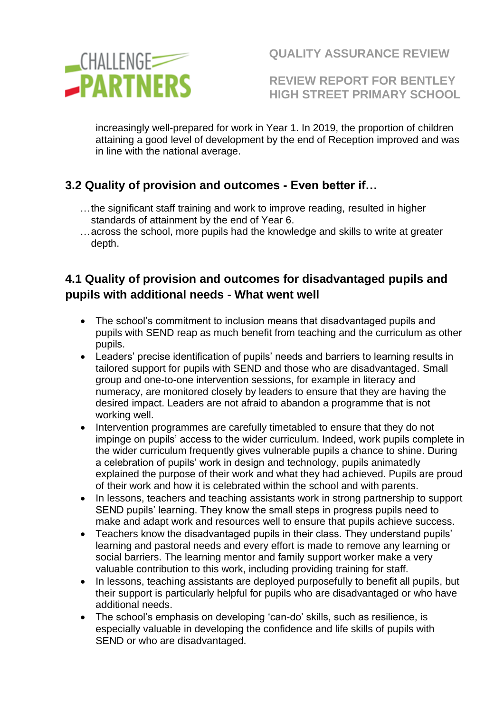

**REVIEW REPORT FOR BENTLEY HIGH STREET PRIMARY SCHOOL** 

increasingly well-prepared for work in Year 1. In 2019, the proportion of children attaining a good level of development by the end of Reception improved and was in line with the national average.

## **3.2 Quality of provision and outcomes - Even better if…**

- …the significant staff training and work to improve reading, resulted in higher standards of attainment by the end of Year 6.
- …across the school, more pupils had the knowledge and skills to write at greater depth.

## **4.1 Quality of provision and outcomes for disadvantaged pupils and pupils with additional needs - What went well**

- The school's commitment to inclusion means that disadvantaged pupils and pupils with SEND reap as much benefit from teaching and the curriculum as other pupils.
- Leaders' precise identification of pupils' needs and barriers to learning results in tailored support for pupils with SEND and those who are disadvantaged. Small group and one-to-one intervention sessions, for example in literacy and numeracy, are monitored closely by leaders to ensure that they are having the desired impact. Leaders are not afraid to abandon a programme that is not working well.
- Intervention programmes are carefully timetabled to ensure that they do not impinge on pupils' access to the wider curriculum. Indeed, work pupils complete in the wider curriculum frequently gives vulnerable pupils a chance to shine. During a celebration of pupils' work in design and technology, pupils animatedly explained the purpose of their work and what they had achieved. Pupils are proud of their work and how it is celebrated within the school and with parents.
- In lessons, teachers and teaching assistants work in strong partnership to support SEND pupils' learning. They know the small steps in progress pupils need to make and adapt work and resources well to ensure that pupils achieve success.
- Teachers know the disadvantaged pupils in their class. They understand pupils' learning and pastoral needs and every effort is made to remove any learning or social barriers. The learning mentor and family support worker make a very valuable contribution to this work, including providing training for staff.
- In lessons, teaching assistants are deployed purposefully to benefit all pupils, but their support is particularly helpful for pupils who are disadvantaged or who have additional needs.
- The school's emphasis on developing 'can-do' skills, such as resilience, is especially valuable in developing the confidence and life skills of pupils with SEND or who are disadvantaged.